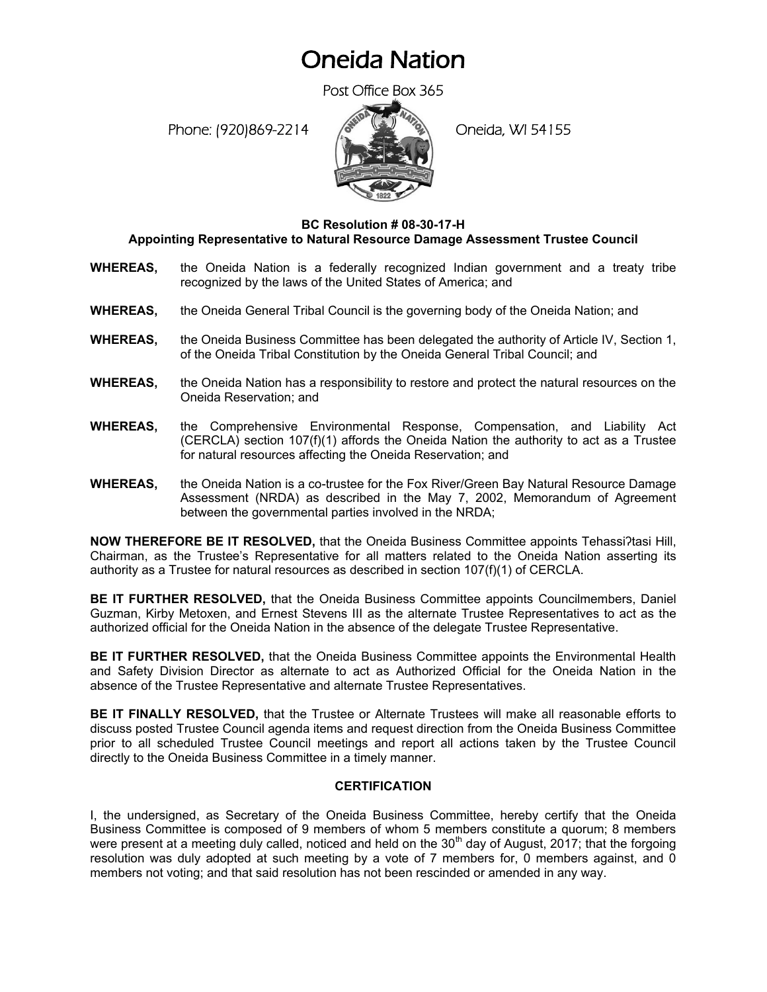## Oneida Nation

Post Office Box 365

Phone: (920)869-2214 (Oneida, WI 54155



## **BC Resolution # 08-30-17-H Appointing Representative to Natural Resource Damage Assessment Trustee Council**

- **WHEREAS,** the Oneida Nation is a federally recognized Indian government and a treaty tribe recognized by the laws of the United States of America; and
- **WHEREAS,** the Oneida General Tribal Council is the governing body of the Oneida Nation; and
- **WHEREAS,** the Oneida Business Committee has been delegated the authority of Article IV, Section 1, of the Oneida Tribal Constitution by the Oneida General Tribal Council; and
- **WHEREAS,** the Oneida Nation has a responsibility to restore and protect the natural resources on the Oneida Reservation; and
- **WHEREAS,** the Comprehensive Environmental Response, Compensation, and Liability Act  $(CERCLA)$  section 107 $(f)(1)$  affords the Oneida Nation the authority to act as a Trustee for natural resources affecting the Oneida Reservation; and
- **WHEREAS,** the Oneida Nation is a co-trustee for the Fox River/Green Bay Natural Resource Damage Assessment (NRDA) as described in the May 7, 2002, Memorandum of Agreement between the governmental parties involved in the NRDA;

**NOW THEREFORE BE IT RESOLVED, that the Oneida Business Committee appoints Tehassi?tasi Hill,** Chairman, as the Trustee's Representative for all matters related to the Oneida Nation asserting its authority as a Trustee for natural resources as described in section 107(f)(1) of CERCLA.

**BE IT FURTHER RESOLVED,** that the Oneida Business Committee appoints Councilmembers, Daniel Guzman, Kirby Metoxen, and Ernest Stevens III as the alternate Trustee Representatives to act as the authorized official for the Oneida Nation in the absence of the delegate Trustee Representative.

**BE IT FURTHER RESOLVED,** that the Oneida Business Committee appoints the Environmental Health and Safety Division Director as alternate to act as Authorized Official for the Oneida Nation in the absence of the Trustee Representative and alternate Trustee Representatives.

**BE IT FINALLY RESOLVED,** that the Trustee or Alternate Trustees will make all reasonable efforts to discuss posted Trustee Council agenda items and request direction from the Oneida Business Committee prior to all scheduled Trustee Council meetings and report all actions taken by the Trustee Council directly to the Oneida Business Committee in a timely manner.

## **CERTIFICATION**

I, the undersigned, as Secretary of the Oneida Business Committee, hereby certify that the Oneida Business Committee is composed of 9 members of whom 5 members constitute a quorum; 8 members were present at a meeting duly called, noticed and held on the  $30<sup>th</sup>$  day of August, 2017; that the forgoing resolution was duly adopted at such meeting by a vote of 7 members for, 0 members against, and 0 members not voting; and that said resolution has not been rescinded or amended in any way.